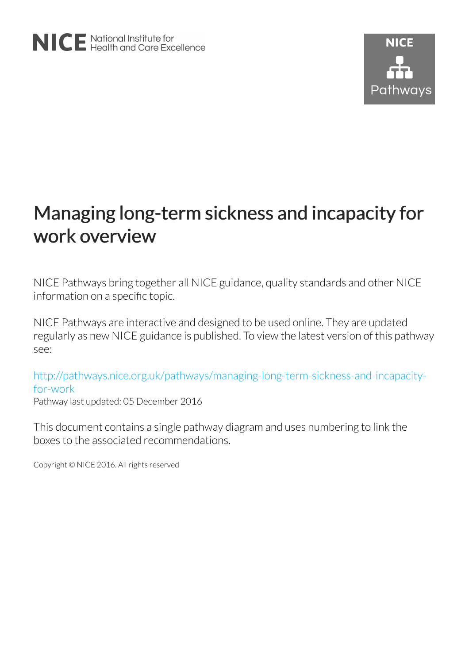# Managing long-term sickness and incapacity for work overview

NICE Pathways bring together all NICE guidance, quality standards and other NICE information on a specific topic.

NICE Pathways are interactive and designed to be used online. They are updated regularly as new NICE guidance is published. To view the latest version of this pathway see:

[http://pathways.nice.org.uk/pathways/managing-long-term-sickness-and-incapacity](http://pathways.nice.org.uk/pathways/managing-long-term-sickness-and-incapacity-for-work)[for-work](http://pathways.nice.org.uk/pathways/managing-long-term-sickness-and-incapacity-for-work) Pathway last updated: 05 December 2016

This document contains a single pathway diagram and uses numbering to link the boxes to the associated recommendations.

Copyright © NICE 2016. All rights reserved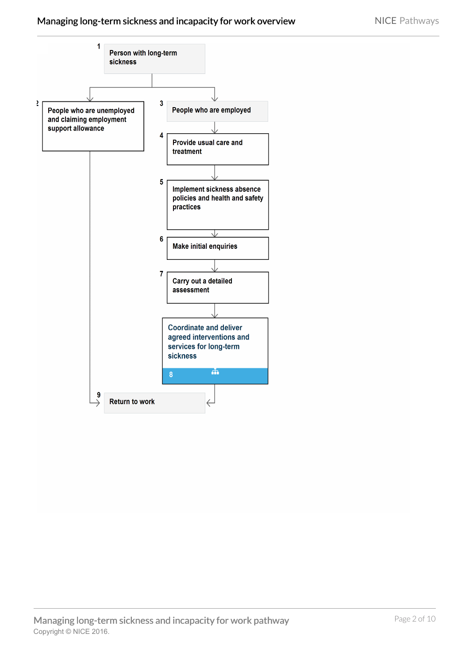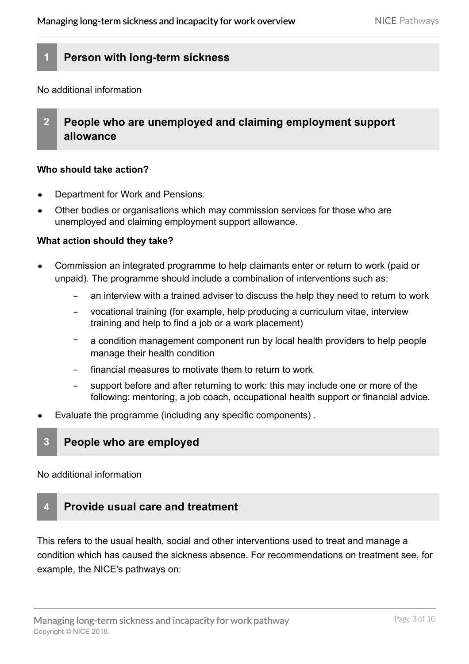# **1 Person with long-term sickness**

No additional information

# **2 People who are unemployed and claiming employment support allowance**

#### **Who should take action?**

- Department for Work and Pensions.
- Other bodies or organisations which may commission services for those who are unemployed and claiming employment support allowance.

#### **What action should they take?**

- Commission an integrated programme to help claimants enter or return to work (paid or unpaid). The programme should include a combination of [interventions](#page-7-0) such as:
	- an interview with a trained adviser to discuss the help they need to return to work
	- vocational training (for example, help producing a curriculum vitae, interview training and help to find a job or a work placement)
	- a [condition management](#page-6-0) component run by local health providers to help people manage their health condition
	- financial measures to motivate them to return to work
	- support before and after returning to work: this may include one or more of the following: mentoring, a job coach, occupational health support or financial advice.
- Evaluate the programme (including any specific components) .

# **3 People who are employed**

No additional information

# **4 Provide usual care and treatment**

This refers to the usual health, social and other interventions used to treat and manage a condition which has caused the sickness absence. For recommendations on treatment see, for example, the NICE's pathways on: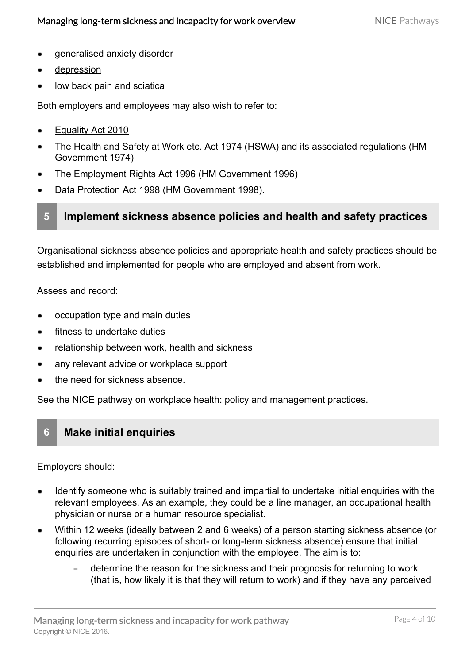- [generalised anxiety disorder](http://pathways.nice.org.uk/pathways/generalised-anxiety-disorder)
- [depression](http://pathways.nice.org.uk/pathways/depression)
- [low back pain and sciatica](http://pathways.nice.org.uk/pathways/low-back-pain-and-sciatica)

Both employers and employees may also wish to refer to:

- [Equality Act 2010](http://www.legislation.gov.uk/ukpga/2010/15/contents)
- [The Health and Safety at Work etc. Act 1974](http://www.hse.gov.uk/legislation/hswa.htm) (HSWA) and its [associated regulations](http://www.legislation.gov.uk/ukpga/1974/37/contents) (HM Government 1974)
- [The Employment Rights Act 1996](http://www.legislation.gov.uk/ukpga/1996/18/contents) (HM Government 1996)
- [Data Protection Act 1998](http://www.legislation.gov.uk/ukpga/1998/29/contents) (HM Government 1998).

# **5 Implement sickness absence policies and health and safety practices**

Organisational sickness absence policies and appropriate health and safety practices should be established and implemented for people who are employed and absent from work.

Assess and record:

- occupation type and main duties
- fitness to undertake duties
- relationship between work, health and sickness
- any relevant advice or workplace support
- the need for sickness absence.

See the NICE pathway on [workplace health: policy and management practices.](http://pathways.nice.org.uk/pathways/workplace-health-policy-and-management-practices)

# **6 Make initial enquiries**

[Employers](#page-6-1) should:

- Identify someone who is suitably trained and impartial to undertake initial enquiries with the relevant employees. As an example, they could be a line manager, an occupational health physician or nurse or a human resource specialist.
- Within 12 weeks (ideally between 2 and 6 weeks) of a person starting sickness absence (or following recurring episodes of short- or long-term sickness absence) ensure that initial enquiries are undertaken in conjunction with the employee. The aim is to:
	- determine the reason for the sickness and their prognosis for returning to work (that is, how likely it is that they will return to work) and if they have any perceived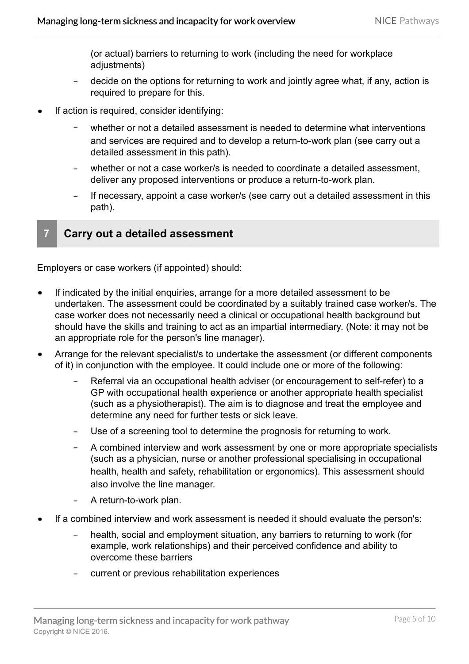(or actual) barriers to returning to work (including the need for workplace adiustments)

- decide on the options for returning to work and jointly agree what, if any, action is required to prepare for this.
- If action is required, consider identifying:
	- whether or not a detailed assessment is needed to determine what [interventions](#page-7-0) and services are required and to develop a return-to-work plan (see carry out a detailed assessment in this path).
	- whether or not a case worker/s is needed to coordinate a detailed assessment, deliver any proposed interventions or produce a return-to-work plan.
	- If necessary, appoint a case worker/s (see carry out a detailed assessment in this path).

# **7 Carry out a detailed assessment**

[Employers](#page-6-1) or case workers (if appointed) should:

- If indicated by the initial enquiries, arrange for a more detailed assessment to be undertaken. The assessment could be coordinated by a suitably trained case worker/s. The case worker does not necessarily need a clinical or occupational health background but should have the skills and training to act as an impartial intermediary. (Note: it may not be an appropriate role for the person's line manager).
- Arrange for the relevant specialist/s to undertake the assessment (or different components of it) in conjunction with the employee. It could include one or more of the following:
	- Referral via an occupational health adviser (or encouragement to self-refer) to a GP with occupational health experience or another appropriate health specialist (such as a physiotherapist). The aim is to diagnose and treat the employee and determine any need for further tests or sick leave.
	- Use of a screening tool to determine the prognosis for returning to work.  $-$
	- A combined interview and work assessment by one or more appropriate specialists (such as a physician, nurse or another professional specialising in occupational health, health and safety, [rehabilitation](#page-8-0) or ergonomics). This assessment should also involve the line manager.
	- A return-to-work plan.
- If a combined interview and work assessment is needed it should evaluate the person's:
	- health, social and employment situation, any barriers to returning to work (for example, work relationships) and their perceived confidence and ability to overcome these barriers
	- current or previous rehabilitation experiences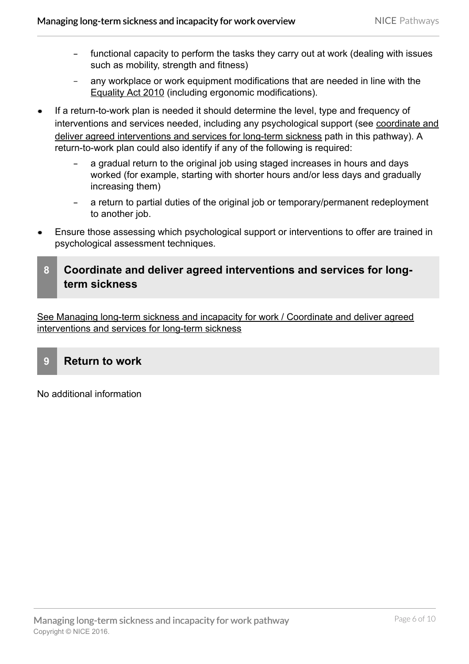- functional capacity to perform the tasks they carry out at work (dealing with issues such as mobility, strength and fitness)
- any workplace or work equipment modifications that are needed in line with the  $-$ [Equality Act 2010](http://www.legislation.gov.uk/ukpga/2010/15/contents) (including ergonomic modifications).
- If a return-to-work plan is needed it should determine the level, type and frequency of [interventions](#page-7-0) and services needed, including any psychological support (see [coordinate and](http://pathways.nice.org.uk/pathways/managing-long-term-sickness-and-incapacity-for-work/coordinate-and-deliver-agreed-interventions-and-services-for-long-term-sickness) [deliver agreed interventions and services for long-term sickness](http://pathways.nice.org.uk/pathways/managing-long-term-sickness-and-incapacity-for-work/coordinate-and-deliver-agreed-interventions-and-services-for-long-term-sickness) path in this pathway). A return-to-work plan could also identify if any of the following is required:
	- a gradual return to the original job using staged increases in hours and days worked (for example, starting with shorter hours and/or less days and gradually increasing them)
	- a return to partial duties of the original job or temporary/permanent redeployment to another job.
- Ensure those assessing which psychological support or interventions to offer are trained in psychological assessment techniques.
- **8 Coordinate and deliver agreed interventions and services for longterm sickness**

[See Managing long-term sickness and incapacity for work / Coordinate and deliver agreed](http://pathways.nice.org.uk/pathways/managing-long-term-sickness-and-incapacity-for-work/coordinate-and-deliver-agreed-interventions-and-services-for-long-term-sickness) interventions and services for long-term sickness

**9 Return to work**

No additional information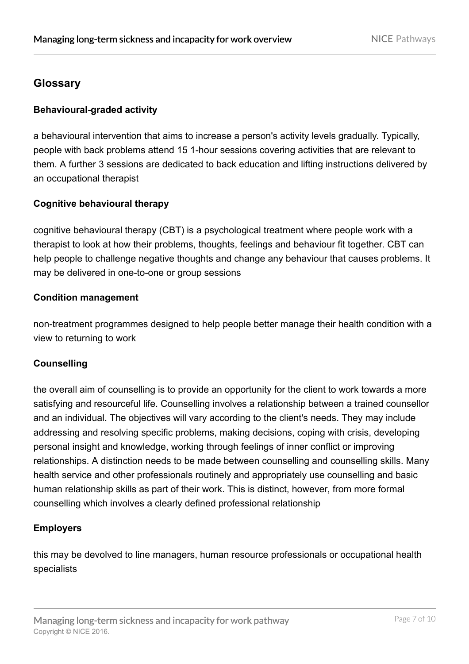# **Glossary**

# **Behavioural-graded activity**

a behavioural intervention that aims to increase a person's activity levels gradually. Typically, people with back problems attend 15 1-hour sessions covering activities that are relevant to them. A further 3 sessions are dedicated to back education and lifting instructions delivered by an occupational therapist

### **Cognitive behavioural therapy**

cognitive behavioural therapy (CBT) is a psychological treatment where people work with a therapist to look at how their problems, thoughts, feelings and behaviour fit together. CBT can help people to challenge negative thoughts and change any behaviour that causes problems. It may be delivered in one-to-one or group sessions

#### **Condition management**

<span id="page-6-0"></span>non-treatment programmes designed to help people better manage their health condition with a view to returning to work

#### **Counselling**

the overall aim of counselling is to provide an opportunity for the client to work towards a more satisfying and resourceful life. Counselling involves a relationship between a trained counsellor and an individual. The objectives will vary according to the client's needs. They may include addressing and resolving specific problems, making decisions, coping with crisis, developing personal insight and knowledge, working through feelings of inner conflict or improving relationships. A distinction needs to be made between counselling and counselling skills. Many health service and other professionals routinely and appropriately use counselling and basic human relationship skills as part of their work. This is distinct, however, from more formal counselling which involves a clearly defined professional relationship

# **Employers**

<span id="page-6-1"></span>this may be devolved to line managers, human resource professionals or occupational health specialists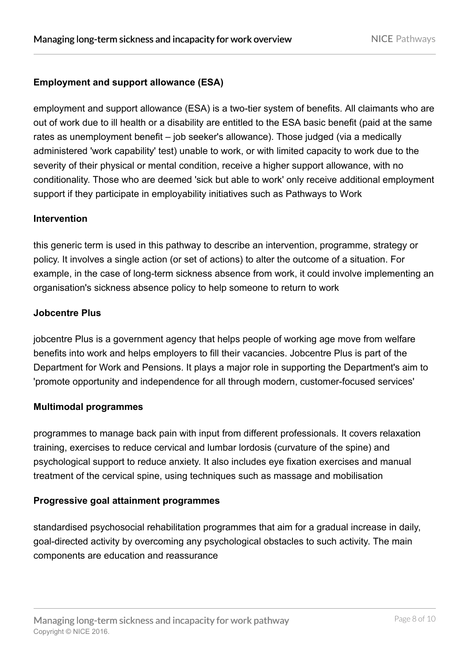# **Employment and support allowance (ESA)**

employment and support allowance (ESA) is a two-tier system of benefits. All claimants who are out of work due to ill health or a disability are entitled to the ESA basic benefit (paid at the same rates as unemployment benefit – job seeker's allowance). Those judged (via a medically administered 'work capability' test) unable to work, or with limited capacity to work due to the severity of their physical or mental condition, receive a higher support allowance, with no conditionality. Those who are deemed 'sick but able to work' only receive additional employment support if they participate in employability initiatives such as Pathways to Work

#### **Intervention**

<span id="page-7-0"></span>this generic term is used in this pathway to describe an intervention, programme, strategy or policy. It involves a single action (or set of actions) to alter the outcome of a situation. For example, in the case of long-term sickness absence from work, it could involve implementing an organisation's sickness absence policy to help someone to return to work

### **Jobcentre Plus**

jobcentre Plus is a government agency that helps people of working age move from welfare benefits into work and helps employers to fill their vacancies. Jobcentre Plus is part of the Department for Work and Pensions. It plays a major role in supporting the Department's aim to 'promote opportunity and independence for all through modern, customer-focused services'

#### **Multimodal programmes**

programmes to manage back pain with input from different professionals. It covers relaxation training, exercises to reduce cervical and lumbar lordosis (curvature of the spine) and psychological support to reduce anxiety. It also includes eye fixation exercises and manual treatment of the cervical spine, using techniques such as massage and mobilisation

# **Progressive goal attainment programmes**

standardised psychosocial rehabilitation programmes that aim for a gradual increase in daily, goal-directed activity by overcoming any psychological obstacles to such activity. The main components are education and reassurance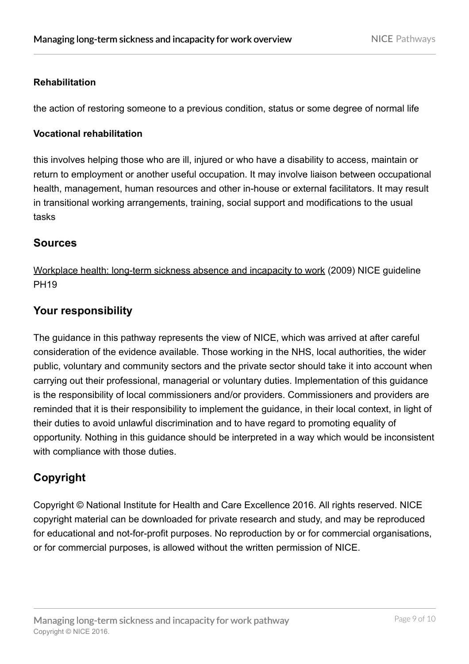### **Rehabilitation**

<span id="page-8-0"></span>the action of restoring someone to a previous condition, status or some degree of normal life

#### **Vocational rehabilitation**

this involves helping those who are ill, injured or who have a disability to access, maintain or return to employment or another useful occupation. It may involve liaison between occupational health, management, human resources and other in-house or external facilitators. It may result in transitional working arrangements, training, social support and modifications to the usual tasks

# **Sources**

[Workplace health: long-term sickness absence and incapacity to work](http://www.nice.org.uk/guidance/PH19) (2009) NICE guideline PH19

# **Your responsibility**

The guidance in this pathway represents the view of NICE, which was arrived at after careful consideration of the evidence available. Those working in the NHS, local authorities, the wider public, voluntary and community sectors and the private sector should take it into account when carrying out their professional, managerial or voluntary duties. Implementation of this guidance is the responsibility of local commissioners and/or providers. Commissioners and providers are reminded that it is their responsibility to implement the guidance, in their local context, in light of their duties to avoid unlawful discrimination and to have regard to promoting equality of opportunity. Nothing in this guidance should be interpreted in a way which would be inconsistent with compliance with those duties.

# **Copyright**

Copyright © National Institute for Health and Care Excellence 2016. All rights reserved. NICE copyright material can be downloaded for private research and study, and may be reproduced for educational and not-for-profit purposes. No reproduction by or for commercial organisations, or for commercial purposes, is allowed without the written permission of NICE.